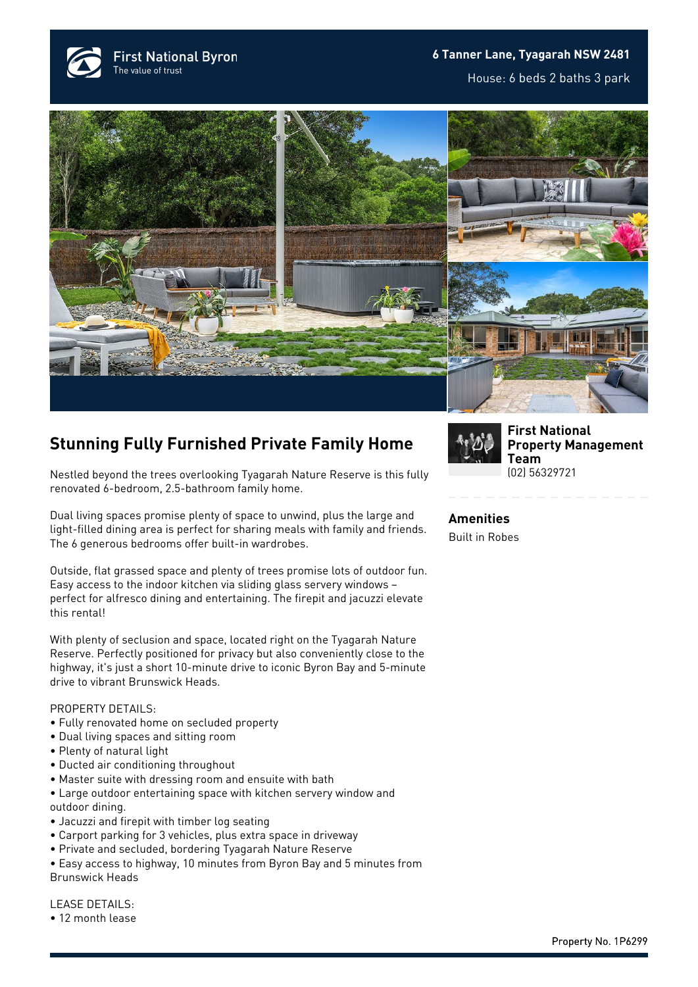

## **6 Tanner Lane, Tyagarah NSW 2481**

House: 6 beds 2 baths 3 park





## **Stunning Fully Furnished Private Family Home**

Nestled beyond the trees overlooking Tyagarah Nature Reserve is this fully renovated 6-bedroom, 2.5-bathroom family home.

Dual living spaces promise plenty of space to unwind, plus the large and light-filled dining area is perfect for sharing meals with family and friends. The 6 generous bedrooms offer built-in wardrobes.

Outside, flat grassed space and plenty of trees promise lots of outdoor fun. Easy access to the indoor kitchen via sliding glass servery windows – perfect for alfresco dining and entertaining. The firepit and jacuzzi elevate this rental!

With plenty of seclusion and space, located right on the Tyagarah Nature Reserve. Perfectly positioned for privacy but also conveniently close to the highway, it's just a short 10-minute drive to iconic Byron Bay and 5-minute drive to vibrant Brunswick Heads.

## PROPERTY DETAILS:

- Fully renovated home on secluded property
- Dual living spaces and sitting room
- Plenty of natural light
- Ducted air conditioning throughout
- Master suite with dressing room and ensuite with bath
- Large outdoor entertaining space with kitchen servery window and outdoor dining.
- Jacuzzi and firepit with timber log seating
- Carport parking for 3 vehicles, plus extra space in driveway
- Private and secluded, bordering Tyagarah Nature Reserve
- Easy access to highway, 10 minutes from Byron Bay and 5 minutes from Brunswick Heads

LEASE DETAILS: • 12 month lease



**[First National](https://www.byronbayfn.com.au/agents/first-national-property-management-team/) [Property Management](https://www.byronbayfn.com.au/agents/first-national-property-management-team/) [Team](https://www.byronbayfn.com.au/agents/first-national-property-management-team/)** [\(02\) 56329721](#page--1-0)

**Amenities** Built in Robes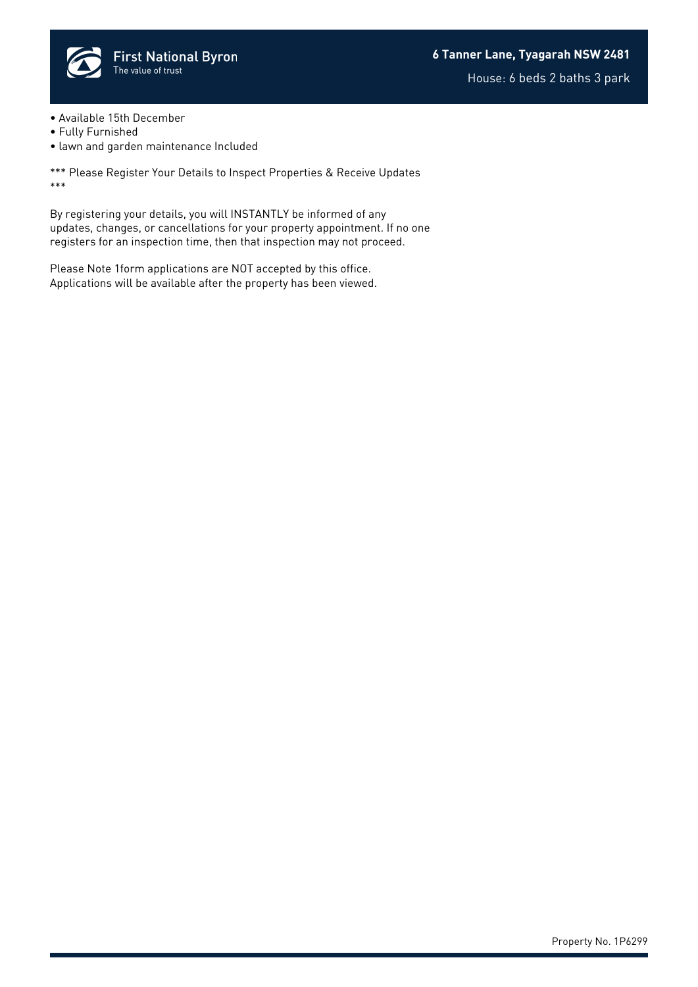

- Available 15th December
- Fully Furnished
- lawn and garden maintenance Included

\*\*\* Please Register Your Details to Inspect Properties & Receive Updates \*\*\*

By registering your details, you will INSTANTLY be informed of any updates, changes, or cancellations for your property appointment. If no one registers for an inspection time, then that inspection may not proceed.

Please Note 1form applications are NOT accepted by this office. Applications will be available after the property has been viewed.